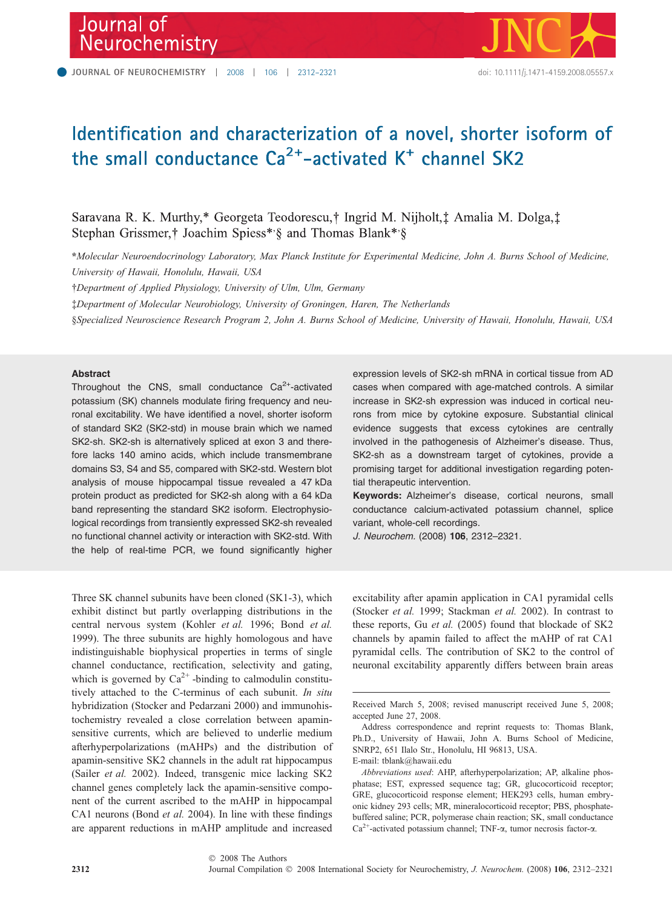# Journal of Neurochemistry



# Identification and characterization of a novel, shorter isoform of the small conductance Ca<sup>2+</sup>-activated K<sup>+</sup> channel SK2

Saravana R. K. Murthy,\* Georgeta Teodorescu,† Ingrid M. Nijholt, $\ddagger$  Amalia M. Dolga, $\ddagger$ Stephan Grissmer,† Joachim Spiess\*,§ and Thomas Blank\*,§

\*Molecular Neuroendocrinology Laboratory, Max Planck Institute for Experimental Medicine, John A. Burns School of Medicine, University of Hawaii, Honolulu, Hawaii, USA

-Department of Applied Physiology, University of Ulm, Ulm, Germany

Department of Molecular Neurobiology, University of Groningen, Haren, The Netherlands

§Specialized Neuroscience Research Program 2, John A. Burns School of Medicine, University of Hawaii, Honolulu, Hawaii, USA

## Abstract

Throughout the CNS, small conductance  $Ca<sup>2+</sup>$ -activated potassium (SK) channels modulate firing frequency and neuronal excitability. We have identified a novel, shorter isoform of standard SK2 (SK2-std) in mouse brain which we named SK2-sh. SK2-sh is alternatively spliced at exon 3 and therefore lacks 140 amino acids, which include transmembrane domains S3, S4 and S5, compared with SK2-std. Western blot analysis of mouse hippocampal tissue revealed a 47 kDa protein product as predicted for SK2-sh along with a 64 kDa band representing the standard SK2 isoform. Electrophysiological recordings from transiently expressed SK2-sh revealed no functional channel activity or interaction with SK2-std. With the help of real-time PCR, we found significantly higher

Three SK channel subunits have been cloned (SK1-3), which exhibit distinct but partly overlapping distributions in the central nervous system (Kohler et al. 1996; Bond et al. 1999). The three subunits are highly homologous and have indistinguishable biophysical properties in terms of single channel conductance, rectification, selectivity and gating, which is governed by  $Ca^{2+}$ -binding to calmodulin constitutively attached to the C-terminus of each subunit. In situ hybridization (Stocker and Pedarzani 2000) and immunohistochemistry revealed a close correlation between apaminsensitive currents, which are believed to underlie medium afterhyperpolarizations (mAHPs) and the distribution of apamin-sensitive SK2 channels in the adult rat hippocampus (Sailer et al. 2002). Indeed, transgenic mice lacking SK2 channel genes completely lack the apamin-sensitive component of the current ascribed to the mAHP in hippocampal CA1 neurons (Bond et al. 2004). In line with these findings are apparent reductions in mAHP amplitude and increased expression levels of SK2-sh mRNA in cortical tissue from AD cases when compared with age-matched controls. A similar increase in SK2-sh expression was induced in cortical neurons from mice by cytokine exposure. Substantial clinical evidence suggests that excess cytokines are centrally involved in the pathogenesis of Alzheimer's disease. Thus, SK2-sh as a downstream target of cytokines, provide a promising target for additional investigation regarding potential therapeutic intervention.

Keywords: Alzheimer's disease, cortical neurons, small conductance calcium-activated potassium channel, splice variant, whole-cell recordings.

J. Neurochem. (2008) 106, 2312–2321.

excitability after apamin application in CA1 pyramidal cells (Stocker et al. 1999; Stackman et al. 2002). In contrast to these reports, Gu et al. (2005) found that blockade of SK2 channels by apamin failed to affect the mAHP of rat CA1 pyramidal cells. The contribution of SK2 to the control of neuronal excitability apparently differs between brain areas

Received March 5, 2008; revised manuscript received June 5, 2008; accepted June 27, 2008.

Address correspondence and reprint requests to: Thomas Blank, Ph.D., University of Hawaii, John A. Burns School of Medicine, SNRP2, 651 Ilalo Str., Honolulu, HI 96813, USA. E-mail: tblank@hawaii.edu

Abbreviations used: AHP, afterhyperpolarization; AP, alkaline phosphatase; EST, expressed sequence tag; GR, glucocorticoid receptor;

GRE, glucocorticoid response element; HEK293 cells, human embryonic kidney 293 cells; MR, mineralocorticoid receptor; PBS, phosphatebuffered saline; PCR, polymerase chain reaction; SK, small conductance  $Ca^{2+}$ -activated potassium channel; TNF- $\alpha$ , tumor necrosis factor- $\alpha$ .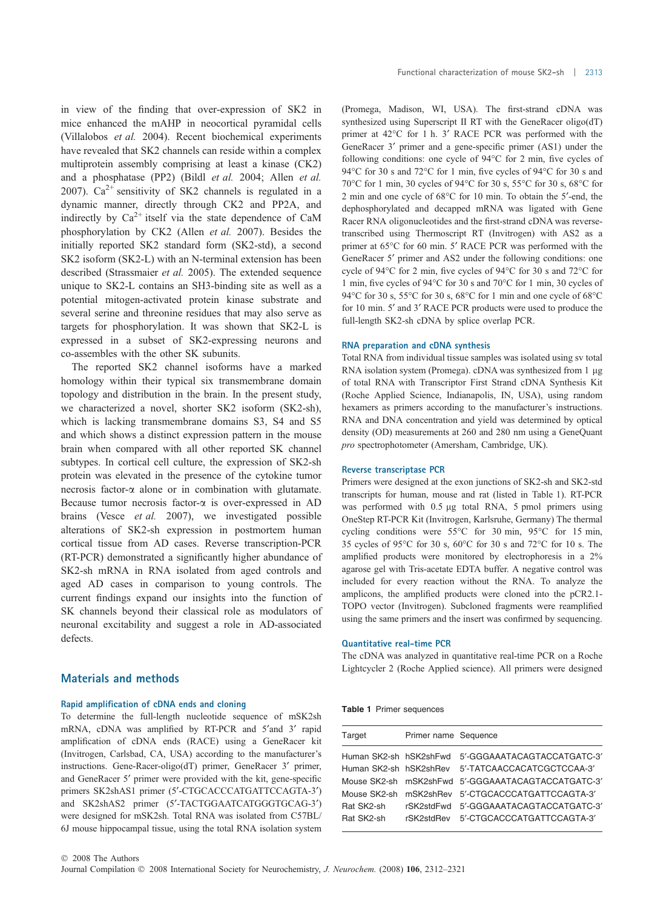in view of the finding that over-expression of SK2 in mice enhanced the mAHP in neocortical pyramidal cells (Villalobos et al. 2004). Recent biochemical experiments have revealed that SK2 channels can reside within a complex multiprotein assembly comprising at least a kinase (CK2) and a phosphatase (PP2) (Bildl et al. 2004; Allen et al. 2007).  $Ca^{2+}$  sensitivity of SK2 channels is regulated in a dynamic manner, directly through CK2 and PP2A, and indirectly by  $Ca^{2+}$  itself via the state dependence of CaM phosphorylation by CK2 (Allen et al. 2007). Besides the initially reported SK2 standard form (SK2-std), a second SK2 isoform (SK2-L) with an N-terminal extension has been described (Strassmaier et al. 2005). The extended sequence unique to SK2-L contains an SH3-binding site as well as a potential mitogen-activated protein kinase substrate and several serine and threonine residues that may also serve as targets for phosphorylation. It was shown that SK2-L is expressed in a subset of SK2-expressing neurons and co-assembles with the other SK subunits.

The reported SK2 channel isoforms have a marked homology within their typical six transmembrane domain topology and distribution in the brain. In the present study, we characterized a novel, shorter SK2 isoform (SK2-sh), which is lacking transmembrane domains S3, S4 and S5 and which shows a distinct expression pattern in the mouse brain when compared with all other reported SK channel subtypes. In cortical cell culture, the expression of SK2-sh protein was elevated in the presence of the cytokine tumor necrosis factor- $\alpha$  alone or in combination with glutamate. Because tumor necrosis factor- $\alpha$  is over-expressed in AD brains (Vesce et al. 2007), we investigated possible alterations of SK2-sh expression in postmortem human cortical tissue from AD cases. Reverse transcription-PCR (RT-PCR) demonstrated a significantly higher abundance of SK2-sh mRNA in RNA isolated from aged controls and aged AD cases in comparison to young controls. The current findings expand our insights into the function of SK channels beyond their classical role as modulators of neuronal excitability and suggest a role in AD-associated defects.

#### Functional characterization of mouse SK2-sh | 2313

(Promega, Madison, WI, USA). The first-strand cDNA was synthesized using Superscript II RT with the GeneRacer oligo(dT) primer at 42°C for 1 h. 3' RACE PCR was performed with the GeneRacer 3' primer and a gene-specific primer (AS1) under the following conditions: one cycle of 94°C for 2 min, five cycles of 94°C for 30 s and 72°C for 1 min, five cycles of 94°C for 30 s and 70°C for 1 min, 30 cycles of 94°C for 30 s, 55°C for 30 s, 68°C for 2 min and one cycle of  $68^{\circ}$ C for 10 min. To obtain the 5'-end, the dephosphorylated and decapped mRNA was ligated with Gene Racer RNA oligonucleotides and the first-strand cDNA was reversetranscribed using Thermoscript RT (Invitrogen) with AS2 as a primer at 65°C for 60 min. 5' RACE PCR was performed with the GeneRacer 5' primer and AS2 under the following conditions: one cycle of 94°C for 2 min, five cycles of 94°C for 30 s and 72°C for 1 min, five cycles of 94°C for 30 s and 70°C for 1 min, 30 cycles of 94°C for 30 s, 55°C for 30 s, 68°C for 1 min and one cycle of 68°C for 10 min. 5' and 3' RACE PCR products were used to produce the full-length SK2-sh cDNA by splice overlap PCR.

### RNA preparation and cDNA synthesis

Total RNA from individual tissue samples was isolated using sv total RNA isolation system (Promega). cDNA was synthesized from  $1 \mu$ g of total RNA with Transcriptor First Strand cDNA Synthesis Kit (Roche Applied Science, Indianapolis, IN, USA), using random hexamers as primers according to the manufacturer's instructions. RNA and DNA concentration and yield was determined by optical density (OD) measurements at 260 and 280 nm using a GeneQuant pro spectrophotometer (Amersham, Cambridge, UK).

#### Reverse transcriptase PCR

Primers were designed at the exon junctions of SK2-sh and SK2-std transcripts for human, mouse and rat (listed in Table 1). RT-PCR was performed with 0.5 µg total RNA, 5 pmol primers using OneStep RT-PCR Kit (Invitrogen, Karlsruhe, Germany) The thermal cycling conditions were 55°C for 30 min, 95°C for 15 min, 35 cycles of 95 $^{\circ}$ C for 30 s, 60 $^{\circ}$ C for 30 s and 72 $^{\circ}$ C for 10 s. The amplified products were monitored by electrophoresis in a 2% agarose gel with Tris-acetate EDTA buffer. A negative control was included for every reaction without the RNA. To analyze the amplicons, the amplified products were cloned into the pCR2.1- TOPO vector (Invitrogen). Subcloned fragments were reamplified using the same primers and the insert was confirmed by sequencing.

#### Quantitative real-time PCR

The cDNA was analyzed in quantitative real-time PCR on a Roche Lightcycler 2 (Roche Applied science). All primers were designed

# Materials and methods

## Rapid amplification of cDNA ends and cloning

To determine the full-length nucleotide sequence of mSK2sh mRNA, cDNA was amplified by RT-PCR and 5'and 3' rapid amplification of cDNA ends (RACE) using a GeneRacer kit (Invitrogen, Carlsbad, CA, USA) according to the manufacturer's instructions. Gene-Racer-oligo(dT) primer, GeneRacer 3' primer, and GeneRacer 5' primer were provided with the kit, gene-specific primers SK2shAS1 primer (5'-CTGCACCCATGATTCCAGTA-3') and SK2shAS2 primer (5'-TACTGGAATCATGGGTGCAG-3') were designed for mSK2sh. Total RNA was isolated from C57BL/ 6J mouse hippocampal tissue, using the total RNA isolation system

## Table 1 Primer sequences

| Target                 | Primer name Sequence |                                                    |
|------------------------|----------------------|----------------------------------------------------|
| Human SK2-sh hSK2shFwd |                      | 5'-GGGAAATACAGTACCATGATC-3'                        |
| Human SK2-sh hSK2shRev |                      | 5'-TATCAACCACATCGCTCCAA-3'                         |
|                        |                      | Mouse SK2-sh mSK2shFwd 5'-GGGAAATACAGTACCATGATC-3' |
|                        |                      | Mouse SK2-sh mSK2shRev 5'-CTGCACCCATGATTCCAGTA-3'  |
| Rat SK2-sh             |                      | rSK2stdFwd 5'-GGGAAATACAGTACCATGATC-3'             |
| Rat SK2-sh             |                      | rSK2stdRev 5'-CTGCACCCATGATTCCAGTA-3'              |
|                        |                      |                                                    |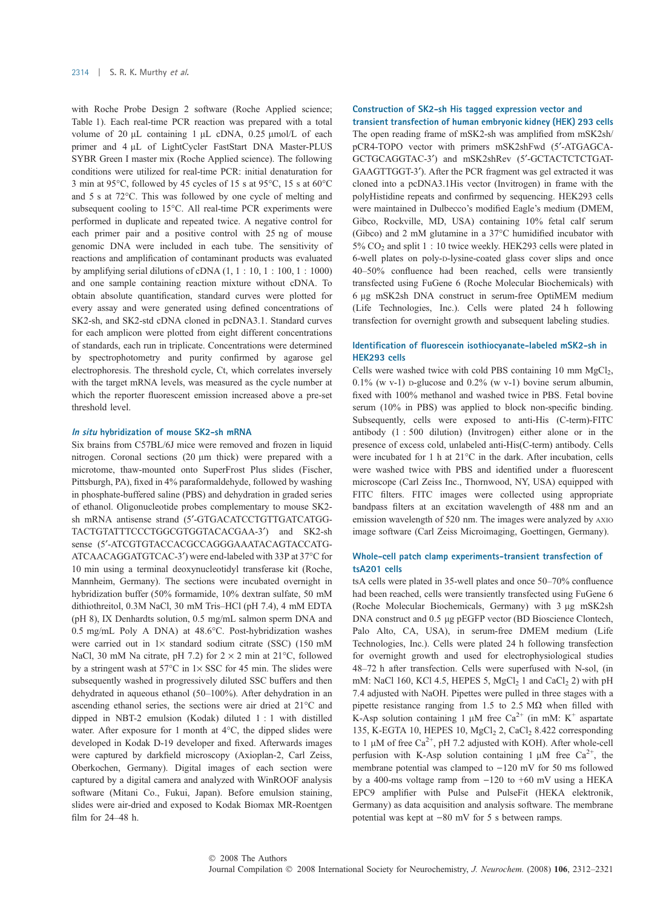with Roche Probe Design 2 software (Roche Applied science; Table 1). Each real-time PCR reaction was prepared with a total volume of 20  $\mu$ L containing 1  $\mu$ L cDNA, 0.25  $\mu$ mol/L of each primer and 4 µL of LightCycler FastStart DNA Master-PLUS SYBR Green I master mix (Roche Applied science). The following conditions were utilized for real-time PCR: initial denaturation for 3 min at 95 $\degree$ C, followed by 45 cycles of 15 s at 95 $\degree$ C, 15 s at 60 $\degree$ C and  $5 s$  at  $72^{\circ}$ C. This was followed by one cycle of melting and subsequent cooling to 15°C. All real-time PCR experiments were performed in duplicate and repeated twice. A negative control for each primer pair and a positive control with 25 ng of mouse genomic DNA were included in each tube. The sensitivity of reactions and amplification of contaminant products was evaluated by amplifying serial dilutions of cDNA (1, 1 : 10, 1 : 100, 1 : 1000) and one sample containing reaction mixture without cDNA. To obtain absolute quantification, standard curves were plotted for every assay and were generated using defined concentrations of SK2-sh, and SK2-std cDNA cloned in pcDNA3.1. Standard curves for each amplicon were plotted from eight different concentrations of standards, each run in triplicate. Concentrations were determined by spectrophotometry and purity confirmed by agarose gel electrophoresis. The threshold cycle, Ct, which correlates inversely with the target mRNA levels, was measured as the cycle number at which the reporter fluorescent emission increased above a pre-set threshold level.

#### In situ hybridization of mouse SK2-sh mRNA

Six brains from C57BL/6J mice were removed and frozen in liquid nitrogen. Coronal sections (20  $\mu$ m thick) were prepared with a microtome, thaw-mounted onto SuperFrost Plus slides (Fischer, Pittsburgh, PA), fixed in 4% paraformaldehyde, followed by washing in phosphate-buffered saline (PBS) and dehydration in graded series of ethanol. Oligonucleotide probes complementary to mouse SK2 sh mRNA antisense strand (5'-GTGACATCCTGTTGATCATGG-TACTGTATTTCCCTGGCGTGGTACACGAA-3') and SK2-sh sense (5¢-ATCGTGTACCACGCCAGGGAAATACAGTACCATG-ATCAACAGGATGTCAC-3') were end-labeled with 33P at 37°C for 10 min using a terminal deoxynucleotidyl transferase kit (Roche, Mannheim, Germany). The sections were incubated overnight in hybridization buffer (50% formamide, 10% dextran sulfate, 50 mM dithiothreitol, 0.3M NaCl, 30 mM Tris–HCl (pH 7.4), 4 mM EDTA (pH 8), IX Denhardts solution, 0.5 mg/mL salmon sperm DNA and 0.5 mg/mL Poly A DNA) at 48.6°C. Post-hybridization washes were carried out in  $1\times$  standard sodium citrate (SSC) (150 mM NaCl, 30 mM Na citrate, pH 7.2) for  $2 \times 2$  min at 21°C, followed by a stringent wash at  $57^{\circ}$ C in  $1 \times$  SSC for 45 min. The slides were subsequently washed in progressively diluted SSC buffers and then dehydrated in aqueous ethanol (50–100%). After dehydration in an ascending ethanol series, the sections were air dried at  $21^{\circ}$ C and dipped in NBT-2 emulsion (Kodak) diluted 1 : 1 with distilled water. After exposure for 1 month at  $4^{\circ}$ C, the dipped slides were developed in Kodak D-19 developer and fixed. Afterwards images were captured by darkfield microscopy (Axioplan-2, Carl Zeiss, Oberkochen, Germany). Digital images of each section were captured by a digital camera and analyzed with WinROOF analysis software (Mitani Co., Fukui, Japan). Before emulsion staining, slides were air-dried and exposed to Kodak Biomax MR-Roentgen film for 24–48 h.

## Construction of SK2-sh His tagged expression vector and transient transfection of human embryonic kidney (HEK) 293 cells

The open reading frame of mSK2-sh was amplified from mSK2sh/ pCR4-TOPO vector with primers mSK2shFwd (5'-ATGAGCA-GCTGCAGGTAC-3') and mSK2shRev (5'-GCTACTCTCTGAT-GAAGTTGGT-3'). After the PCR fragment was gel extracted it was cloned into a pcDNA3.1His vector (Invitrogen) in frame with the polyHistidine repeats and confirmed by sequencing. HEK293 cells were maintained in Dulbecco's modified Eagle's medium (DMEM, Gibco, Rockville, MD, USA) containing 10% fetal calf serum (Gibco) and 2 mM glutamine in a  $37^{\circ}$ C humidified incubator with  $5\%$  CO<sub>2</sub> and split 1 : 10 twice weekly. HEK293 cells were plated in 6-well plates on poly-D-lysine-coated glass cover slips and once 40–50% confluence had been reached, cells were transiently transfected using FuGene 6 (Roche Molecular Biochemicals) with 6 lg mSK2sh DNA construct in serum-free OptiMEM medium (Life Technologies, Inc.). Cells were plated 24 h following transfection for overnight growth and subsequent labeling studies.

## Identification of fluorescein isothiocyanate-labeled mSK2-sh in HEK293 cells

Cells were washed twice with cold PBS containing 10 mm  $MgCl<sub>2</sub>$ , 0.1% (w v-1) p-glucose and 0.2% (w v-1) bovine serum albumin, fixed with 100% methanol and washed twice in PBS. Fetal bovine serum (10% in PBS) was applied to block non-specific binding. Subsequently, cells were exposed to anti-His (C-term)-FITC antibody (1 : 500 dilution) (Invitrogen) either alone or in the presence of excess cold, unlabeled anti-His(C-term) antibody. Cells were incubated for 1 h at  $21^{\circ}$ C in the dark. After incubation, cells were washed twice with PBS and identified under a fluorescent microscope (Carl Zeiss Inc., Thornwood, NY, USA) equipped with FITC filters. FITC images were collected using appropriate bandpass filters at an excitation wavelength of 488 nm and an emission wavelength of 520 nm. The images were analyzed by AXIO image software (Carl Zeiss Microimaging, Goettingen, Germany).

### Whole-cell patch clamp experiments-transient transfection of tsA201 cells

tsA cells were plated in 35-well plates and once 50–70% confluence had been reached, cells were transiently transfected using FuGene 6 (Roche Molecular Biochemicals, Germany) with 3 µg mSK2sh DNA construct and 0.5 µg pEGFP vector (BD Bioscience Clontech, Palo Alto, CA, USA), in serum-free DMEM medium (Life Technologies, Inc.). Cells were plated 24 h following transfection for overnight growth and used for electrophysiological studies 48–72 h after transfection. Cells were superfused with N-sol, (in mM: NaCl 160, KCl 4.5, HEPES 5,  $MgCl<sub>2</sub>$  1 and CaCl<sub>2</sub> 2) with pH 7.4 adjusted with NaOH. Pipettes were pulled in three stages with a pipette resistance ranging from 1.5 to 2.5 M $\Omega$  when filled with K-Asp solution containing 1  $\mu$ M free Ca<sup>2+</sup> (in mM: K<sup>+</sup> aspartate 135, K-EGTA 10, HEPES 10,  $MgCl<sub>2</sub>$  2, CaCl<sub>2</sub> 8.422 corresponding to 1  $\mu$ M of free Ca<sup>2+</sup>, pH 7.2 adjusted with KOH). After whole-cell perfusion with K-Asp solution containing 1  $\mu$ M free Ca<sup>2+</sup>, the membrane potential was clamped to  $-120$  mV for 50 ms followed by a 400-ms voltage ramp from  $-120$  to  $+60$  mV using a HEKA EPC9 amplifier with Pulse and PulseFit (HEKA elektronik, Germany) as data acquisition and analysis software. The membrane potential was kept at  $-80$  mV for 5 s between ramps.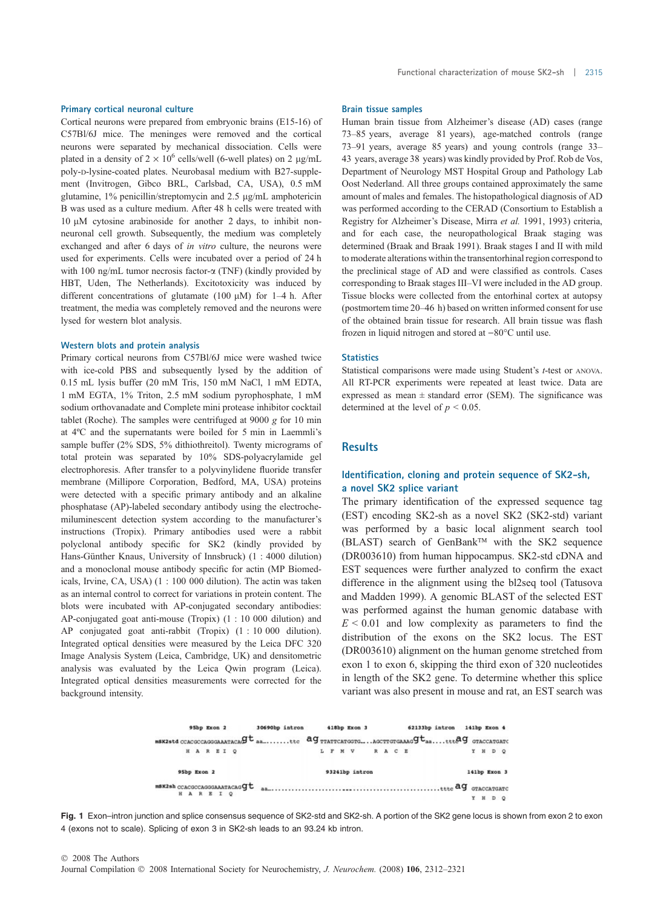#### Primary cortical neuronal culture

Cortical neurons were prepared from embryonic brains (E15-16) of C57Bl/6J mice. The meninges were removed and the cortical neurons were separated by mechanical dissociation. Cells were plated in a density of  $2 \times 10^6$  cells/well (6-well plates) on 2 µg/mL poly-D-lysine-coated plates. Neurobasal medium with B27-supplement (Invitrogen, Gibco BRL, Carlsbad, CA, USA), 0.5 mM glutamine, 1% penicillin/streptomycin and 2.5 µg/mL amphotericin B was used as a culture medium. After 48 h cells were treated with  $10 \mu M$  cytosine arabinoside for another 2 days, to inhibit nonneuronal cell growth. Subsequently, the medium was completely exchanged and after 6 days of in vitro culture, the neurons were used for experiments. Cells were incubated over a period of 24 h with 100 ng/mL tumor necrosis factor-a (TNF) (kindly provided by HBT, Uden, The Netherlands). Excitotoxicity was induced by different concentrations of glutamate (100  $\mu$ M) for 1–4 h. After treatment, the media was completely removed and the neurons were lysed for western blot analysis.

### Western blots and protein analysis

Primary cortical neurons from C57Bl/6J mice were washed twice with ice-cold PBS and subsequently lysed by the addition of 0.15 mL lysis buffer (20 mM Tris, 150 mM NaCl, 1 mM EDTA, 1 mM EGTA, 1% Triton, 2.5 mM sodium pyrophosphate, 1 mM sodium orthovanadate and Complete mini protease inhibitor cocktail tablet (Roche). The samples were centrifuged at 9000 g for 10 min at 4ºC and the supernatants were boiled for 5 min in Laemmli's sample buffer (2% SDS, 5% dithiothreitol). Twenty micrograms of total protein was separated by 10% SDS-polyacrylamide gel electrophoresis. After transfer to a polyvinylidene fluoride transfer membrane (Millipore Corporation, Bedford, MA, USA) proteins were detected with a specific primary antibody and an alkaline phosphatase (AP)-labeled secondary antibody using the electrochemiluminescent detection system according to the manufacturer's instructions (Tropix). Primary antibodies used were a rabbit polyclonal antibody specific for SK2 (kindly provided by Hans-Günther Knaus, University of Innsbruck) (1:4000 dilution) and a monoclonal mouse antibody specific for actin (MP Biomedicals, Irvine, CA, USA) (1 : 100 000 dilution). The actin was taken as an internal control to correct for variations in protein content. The blots were incubated with AP-conjugated secondary antibodies: AP-conjugated goat anti-mouse (Tropix) (1 : 10 000 dilution) and AP conjugated goat anti-rabbit (Tropix) (1 : 10 000 dilution). Integrated optical densities were measured by the Leica DFC 320 Image Analysis System (Leica, Cambridge, UK) and densitometric analysis was evaluated by the Leica Qwin program (Leica). Integrated optical densities measurements were corrected for the background intensity.

## Brain tissue samples

Human brain tissue from Alzheimer's disease (AD) cases (range 73–85 years, average 81 years), age-matched controls (range 73–91 years, average 85 years) and young controls (range 33– 43 years, average 38 years) was kindly provided by Prof. Rob de Vos, Department of Neurology MST Hospital Group and Pathology Lab Oost Nederland. All three groups contained approximately the same amount of males and females. The histopathological diagnosis of AD was performed according to the CERAD (Consortium to Establish a Registry for Alzheimer's Disease, Mirra et al. 1991, 1993) criteria, and for each case, the neuropathological Braak staging was determined (Braak and Braak 1991). Braak stages I and II with mild to moderate alterations within the transentorhinal region correspond to the preclinical stage of AD and were classified as controls. Cases corresponding to Braak stages III–VI were included in the AD group. Tissue blocks were collected from the entorhinal cortex at autopsy (postmortem time 20–46 h) based on written informed consent for use of the obtained brain tissue for research. All brain tissue was flash frozen in liquid nitrogen and stored at  $-80^{\circ}$ C until use.

#### **Statistics**

Statistical comparisons were made using Student's t-test or ANOVA. All RT-PCR experiments were repeated at least twice. Data are expressed as mean  $\pm$  standard error (SEM). The significance was determined at the level of  $p < 0.05$ .

## **Results**

## Identification, cloning and protein sequence of SK2-sh, a novel SK2 splice variant

The primary identification of the expressed sequence tag (EST) encoding SK2-sh as a novel SK2 (SK2-std) variant was performed by a basic local alignment search tool  $(BLAST)$  search of GenBank<sup>TM</sup> with the SK2 sequence (DR003610) from human hippocampus. SK2-std cDNA and EST sequences were further analyzed to confirm the exact difference in the alignment using the bl2seq tool (Tatusova and Madden 1999). A genomic BLAST of the selected EST was performed against the human genomic database with  $E \leq 0.01$  and low complexity as parameters to find the distribution of the exons on the SK2 locus. The EST (DR003610) alignment on the human genome stretched from exon 1 to exon 6, skipping the third exon of 320 nucleotides in length of the SK2 gene. To determine whether this splice variant was also present in mouse and rat, an EST search was

| 95bp Exon 2                                                                                                              | 30690bp intron | 418bp Exon 3   | 62133bp intron | 141bp Exon 4 |
|--------------------------------------------------------------------------------------------------------------------------|----------------|----------------|----------------|--------------|
| $m$ BK2std CCACGCCAGGGAAATACA $g$ t $_{a_{m}}$ ttc $ag$ TTATTCATGGTGAGCTTGTGAAAG $g$ t $_{a_{m}}$ ttp $ag$ g gtaccatgate |                |                |                |              |
| HAREIQ                                                                                                                   |                | L F M V        | R A C E        | Y H D O      |
| 95bp Exon 2                                                                                                              |                | 93241bp intron |                | 141bp Exon 3 |
| $m$ sk2sa ccacgccagggaaatacag $q$ t<br><b>HAREIQ</b>                                                                     |                |                |                |              |
|                                                                                                                          |                |                |                | D            |



© 2008 The Authors Journal Compilation  $\odot$  2008 International Society for Neurochemistry, J. Neurochem. (2008) 106, 2312-2321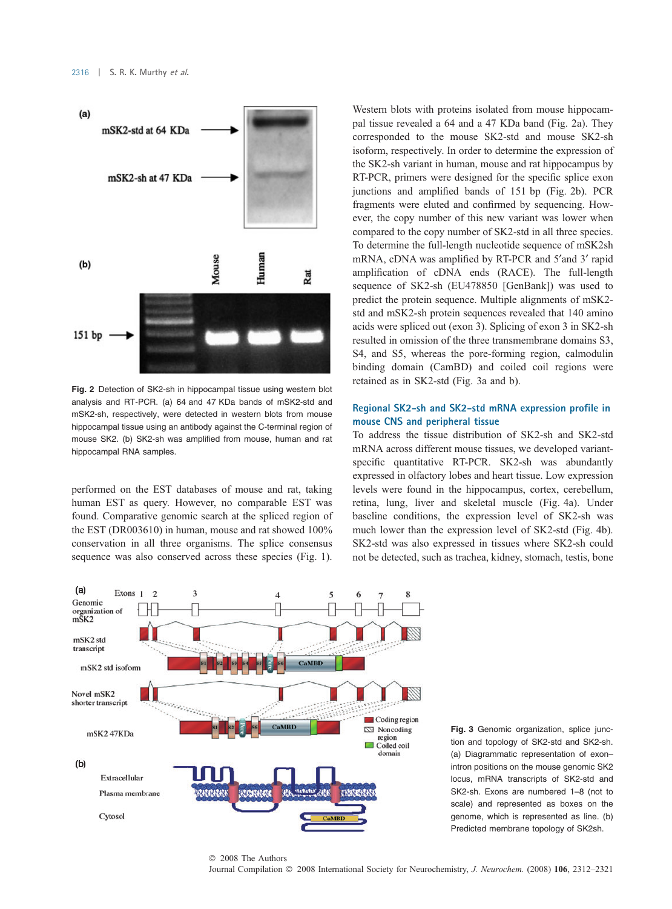

Fig. 2 Detection of SK2-sh in hippocampal tissue using western blot analysis and RT-PCR. (a) 64 and 47 KDa bands of mSK2-std and mSK2-sh, respectively, were detected in western blots from mouse hippocampal tissue using an antibody against the C-terminal region of mouse SK2. (b) SK2-sh was amplified from mouse, human and rat hippocampal RNA samples.

performed on the EST databases of mouse and rat, taking human EST as query. However, no comparable EST was found. Comparative genomic search at the spliced region of the EST (DR003610) in human, mouse and rat showed 100% conservation in all three organisms. The splice consensus sequence was also conserved across these species (Fig. 1).

Western blots with proteins isolated from mouse hippocampal tissue revealed a 64 and a 47 KDa band (Fig. 2a). They corresponded to the mouse SK2-std and mouse SK2-sh isoform, respectively. In order to determine the expression of the SK2-sh variant in human, mouse and rat hippocampus by RT-PCR, primers were designed for the specific splice exon junctions and amplified bands of 151 bp (Fig. 2b). PCR fragments were eluted and confirmed by sequencing. However, the copy number of this new variant was lower when compared to the copy number of SK2-std in all three species. To determine the full-length nucleotide sequence of mSK2sh mRNA, cDNA was amplified by RT-PCR and 5'and 3' rapid amplification of cDNA ends (RACE). The full-length sequence of SK2-sh (EU478850 [GenBank]) was used to predict the protein sequence. Multiple alignments of mSK2 std and mSK2-sh protein sequences revealed that 140 amino acids were spliced out (exon 3). Splicing of exon 3 in SK2-sh resulted in omission of the three transmembrane domains S3, S4, and S5, whereas the pore-forming region, calmodulin binding domain (CamBD) and coiled coil regions were retained as in SK2-std (Fig. 3a and b).

# Regional SK2-sh and SK2-std mRNA expression profile in mouse CNS and peripheral tissue

To address the tissue distribution of SK2-sh and SK2-std mRNA across different mouse tissues, we developed variantspecific quantitative RT-PCR. SK2-sh was abundantly expressed in olfactory lobes and heart tissue. Low expression levels were found in the hippocampus, cortex, cerebellum, retina, lung, liver and skeletal muscle (Fig. 4a). Under baseline conditions, the expression level of SK2-sh was much lower than the expression level of SK2-std (Fig. 4b). SK2-std was also expressed in tissues where SK2-sh could not be detected, such as trachea, kidney, stomach, testis, bone



Fig. 3 Genomic organization, splice junction and topology of SK2-std and SK2-sh. (a) Diagrammatic representation of exon– intron positions on the mouse genomic SK2 locus, mRNA transcripts of SK2-std and SK2-sh. Exons are numbered 1–8 (not to scale) and represented as boxes on the genome, which is represented as line. (b) Predicted membrane topology of SK2sh.

#### Journal Compilation  $\odot$  2008 International Society for Neurochemistry, J. Neurochem. (2008) 106, 2312-2321 © 2008 The Authors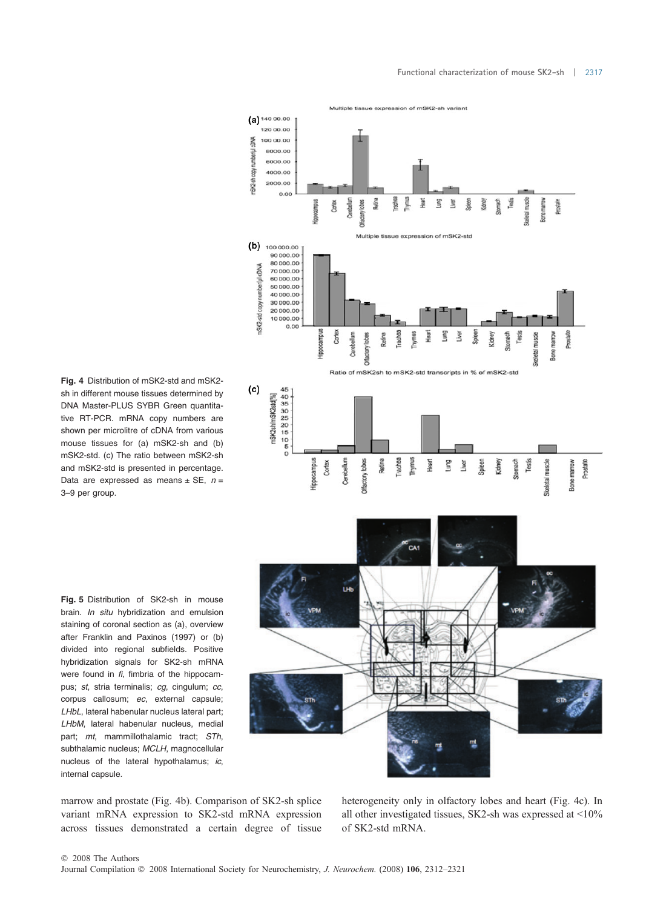

Fig. 4 Distribution of mSK2-std and mSK2 sh in different mouse tissues determined by DNA Master-PLUS SYBR Green quantitative RT-PCR. mRNA copy numbers are shown per microlitre of cDNA from various mouse tissues for (a) mSK2-sh and (b) mSK2-std. (c) The ratio between mSK2-sh and mSK2-std is presented in percentage. Data are expressed as means  $\pm$  SE,  $n =$ 3–9 per group.

Fig. 5 Distribution of SK2-sh in mouse brain. In situ hybridization and emulsion staining of coronal section as (a), overview after Franklin and Paxinos (1997) or (b) divided into regional subfields. Positive hybridization signals for SK2-sh mRNA were found in fi, fimbria of the hippocampus; st, stria terminalis; cg, cingulum; cc, corpus callosum; ec, external capsule; LHbL, lateral habenular nucleus lateral part; LHbM, lateral habenular nucleus, medial part; mt, mammillothalamic tract; STh, subthalamic nucleus; MCLH, magnocellular nucleus of the lateral hypothalamus; ic, internal capsule.

marrow and prostate (Fig. 4b). Comparison of SK2-sh splice variant mRNA expression to SK2-std mRNA expression across tissues demonstrated a certain degree of tissue

heterogeneity only in olfactory lobes and heart (Fig. 4c). In all other investigated tissues, SK2-sh was expressed at <10% of SK2-std mRNA.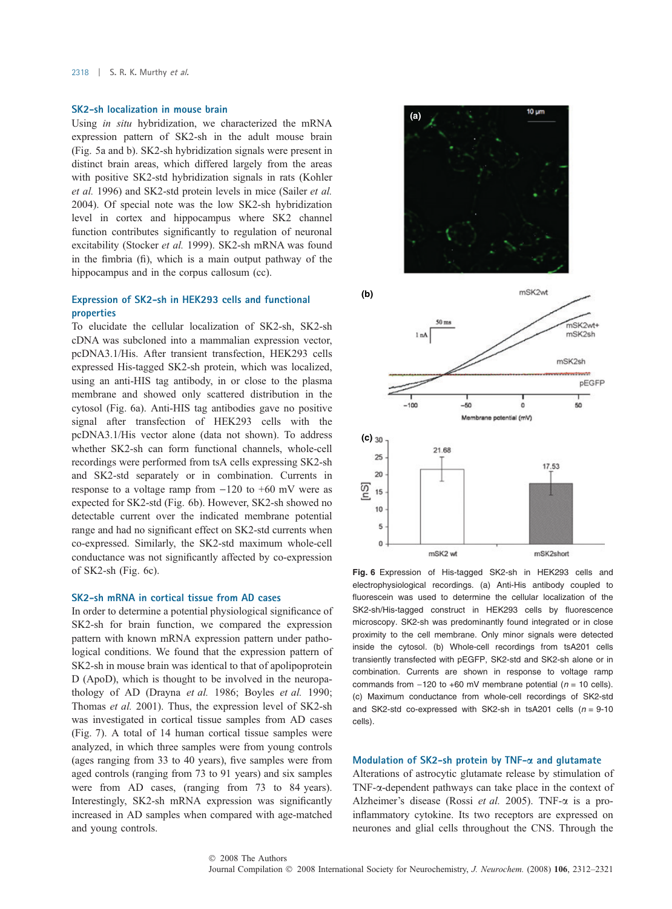## SK2-sh localization in mouse brain

Using in situ hybridization, we characterized the mRNA expression pattern of SK2-sh in the adult mouse brain (Fig. 5a and b). SK2-sh hybridization signals were present in distinct brain areas, which differed largely from the areas with positive SK2-std hybridization signals in rats (Kohler et al. 1996) and SK2-std protein levels in mice (Sailer et al. 2004). Of special note was the low SK2-sh hybridization level in cortex and hippocampus where SK2 channel function contributes significantly to regulation of neuronal excitability (Stocker et al. 1999). SK2-sh mRNA was found in the fimbria (fi), which is a main output pathway of the hippocampus and in the corpus callosum (cc).

# Expression of SK2-sh in HEK293 cells and functional properties

To elucidate the cellular localization of SK2-sh, SK2-sh cDNA was subcloned into a mammalian expression vector, pcDNA3.1/His. After transient transfection, HEK293 cells expressed His-tagged SK2-sh protein, which was localized, using an anti-HIS tag antibody, in or close to the plasma membrane and showed only scattered distribution in the cytosol (Fig. 6a). Anti-HIS tag antibodies gave no positive signal after transfection of HEK293 cells with the pcDNA3.1/His vector alone (data not shown). To address whether SK2-sh can form functional channels, whole-cell recordings were performed from tsA cells expressing SK2-sh and SK2-std separately or in combination. Currents in response to a voltage ramp from  $-120$  to  $+60$  mV were as expected for SK2-std (Fig. 6b). However, SK2-sh showed no detectable current over the indicated membrane potential range and had no significant effect on SK2-std currents when co-expressed. Similarly, the SK2-std maximum whole-cell conductance was not significantly affected by co-expression of SK2-sh (Fig. 6c).

### SK2-sh mRNA in cortical tissue from AD cases

In order to determine a potential physiological significance of SK2-sh for brain function, we compared the expression pattern with known mRNA expression pattern under pathological conditions. We found that the expression pattern of SK2-sh in mouse brain was identical to that of apolipoprotein D (ApoD), which is thought to be involved in the neuropathology of AD (Drayna et al. 1986; Boyles et al. 1990; Thomas et al. 2001). Thus, the expression level of SK2-sh was investigated in cortical tissue samples from AD cases (Fig. 7). A total of 14 human cortical tissue samples were analyzed, in which three samples were from young controls (ages ranging from 33 to 40 years), five samples were from aged controls (ranging from 73 to 91 years) and six samples were from AD cases, (ranging from 73 to 84 years). Interestingly, SK2-sh mRNA expression was significantly increased in AD samples when compared with age-matched and young controls.



Fig. 6 Expression of His-tagged SK2-sh in HEK293 cells and electrophysiological recordings. (a) Anti-His antibody coupled to fluorescein was used to determine the cellular localization of the SK2-sh/His-tagged construct in HEK293 cells by fluorescence microscopy. SK2-sh was predominantly found integrated or in close proximity to the cell membrane. Only minor signals were detected inside the cytosol. (b) Whole-cell recordings from tsA201 cells transiently transfected with pEGFP, SK2-std and SK2-sh alone or in combination. Currents are shown in response to voltage ramp commands from  $-120$  to  $+60$  mV membrane potential ( $n = 10$  cells). (c) Maximum conductance from whole-cell recordings of SK2-std and SK2-std co-expressed with SK2-sh in tsA201 cells  $(n = 9-10)$ cells).

#### Modulation of SK2-sh protein by TNF- $\alpha$  and glutamate

Alterations of astrocytic glutamate release by stimulation of TNF-a-dependent pathways can take place in the context of Alzheimer's disease (Rossi et al. 2005). TNF- $\alpha$  is a proinflammatory cytokine. Its two receptors are expressed on neurones and glial cells throughout the CNS. Through the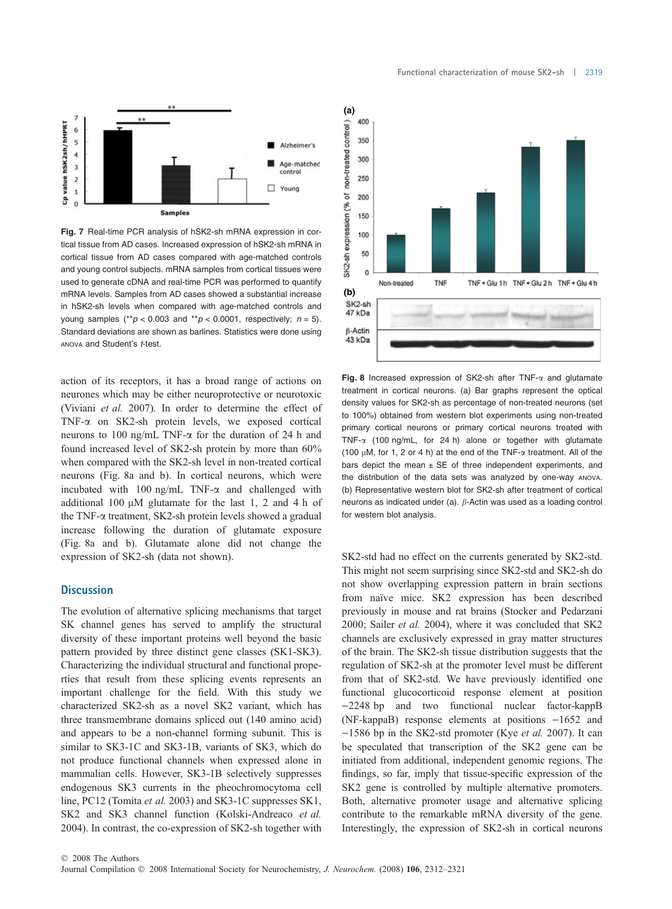

Fig. 7 Real-time PCR analysis of hSK2-sh mRNA expression in cortical tissue from AD cases. Increased expression of hSK2-sh mRNA in cortical tissue from AD cases compared with age-matched controls and young control subjects. mRNA samples from cortical tissues were used to generate cDNA and real-time PCR was performed to quantify mRNA levels. Samples from AD cases showed a substantial increase in hSK2-sh levels when compared with age-matched controls and young samples (\*\* $p < 0.003$  and \*\* $p < 0.0001$ , respectively;  $n = 5$ ). Standard deviations are shown as barlines. Statistics were done using ANOVA and Student's t-test.

action of its receptors, it has a broad range of actions on neurones which may be either neuroprotective or neurotoxic (Viviani et al. 2007). In order to determine the effect of TNF-a on SK2-sh protein levels, we exposed cortical neurons to 100 ng/mL TNF-a for the duration of 24 h and found increased level of SK2-sh protein by more than 60% when compared with the SK2-sh level in non-treated cortical neurons (Fig. 8a and b). In cortical neurons, which were incubated with 100 ng/mL TNF- $\alpha$  and challenged with additional 100  $\mu$ M glutamate for the last 1, 2 and 4 h of the TNF-a treatment, SK2-sh protein levels showed a gradual increase following the duration of glutamate exposure (Fig. 8a and b). Glutamate alone did not change the expression of SK2-sh (data not shown).

## **Discussion**

The evolution of alternative splicing mechanisms that target SK channel genes has served to amplify the structural diversity of these important proteins well beyond the basic pattern provided by three distinct gene classes (SK1-SK3). Characterizing the individual structural and functional properties that result from these splicing events represents an important challenge for the field. With this study we characterized SK2-sh as a novel SK2 variant, which has three transmembrane domains spliced out (140 amino acid) and appears to be a non-channel forming subunit. This is similar to SK3-1C and SK3-1B, variants of SK3, which do not produce functional channels when expressed alone in mammalian cells. However, SK3-1B selectively suppresses endogenous SK3 currents in the pheochromocytoma cell line, PC12 (Tomita et al. 2003) and SK3-1C suppresses SK1, SK2 and SK3 channel function (Kolski-Andreaco et al. 2004). In contrast, the co-expression of SK2-sh together with Functional characterization of mouse SK2-sh | 2319



**(a)**

Fig. 8 Increased expression of SK2-sh after  $TNF-\alpha$  and glutamate treatment in cortical neurons. (a) Bar graphs represent the optical density values for SK2-sh as percentage of non-treated neurons (set to 100%) obtained from western blot experiments using non-treated primary cortical neurons or primary cortical neurons treated with TNF- $\alpha$  (100 ng/mL, for 24 h) alone or together with glutamate (100  $\mu$ M, for 1, 2 or 4 h) at the end of the TNF- $\alpha$  treatment. All of the bars depict the mean  $\pm$  SE of three independent experiments, and the distribution of the data sets was analyzed by one-way ANOVA. (b) Representative western blot for SK2-sh after treatment of cortical neurons as indicated under (a).  $\beta$ -Actin was used as a loading control for western blot analysis.

SK2-std had no effect on the currents generated by SK2-std. This might not seem surprising since SK2-std and SK2-sh do not show overlapping expression pattern in brain sections from naïve mice. SK2 expression has been described previously in mouse and rat brains (Stocker and Pedarzani 2000; Sailer et al. 2004), where it was concluded that SK2 channels are exclusively expressed in gray matter structures of the brain. The SK2-sh tissue distribution suggests that the regulation of SK2-sh at the promoter level must be different from that of SK2-std. We have previously identified one functional glucocorticoid response element at position -2248 bp and two functional nuclear factor-kappB (NF-kappaB) response elements at positions  $-1652$  and  $-1586$  bp in the SK2-std promoter (Kye *et al.* 2007). It can be speculated that transcription of the SK2 gene can be initiated from additional, independent genomic regions. The findings, so far, imply that tissue-specific expression of the SK2 gene is controlled by multiple alternative promoters. Both, alternative promoter usage and alternative splicing contribute to the remarkable mRNA diversity of the gene. Interestingly, the expression of SK2-sh in cortical neurons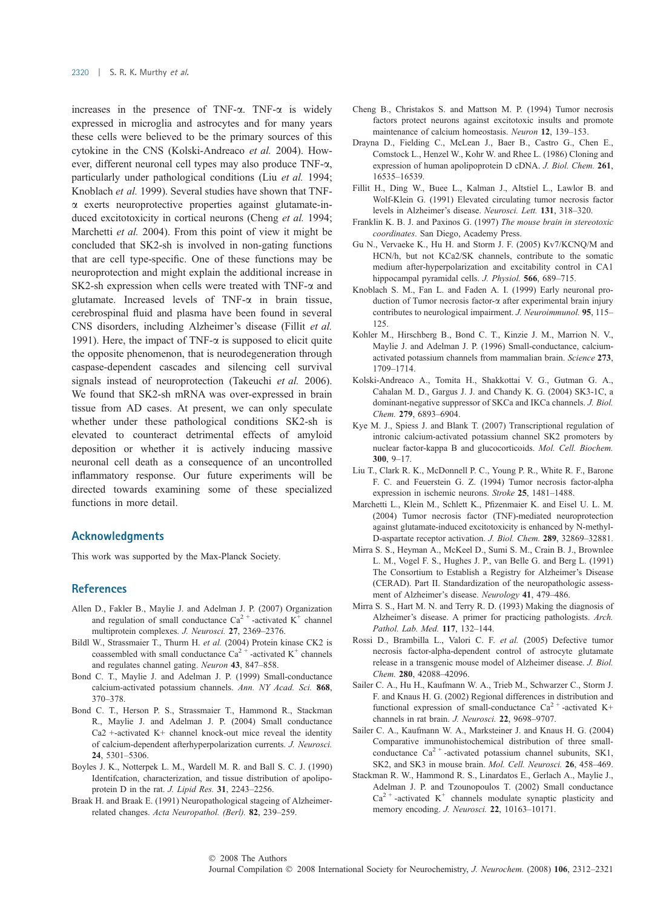increases in the presence of TNF- $\alpha$ . TNF- $\alpha$  is widely expressed in microglia and astrocytes and for many years these cells were believed to be the primary sources of this cytokine in the CNS (Kolski-Andreaco et al. 2004). However, different neuronal cell types may also produce TNF-a, particularly under pathological conditions (Liu et al. 1994; Knoblach et al. 1999). Several studies have shown that TNFa exerts neuroprotective properties against glutamate-induced excitotoxicity in cortical neurons (Cheng et al. 1994; Marchetti *et al.* 2004). From this point of view it might be concluded that SK2-sh is involved in non-gating functions that are cell type-specific. One of these functions may be neuroprotection and might explain the additional increase in SK2-sh expression when cells were treated with TNF- $\alpha$  and glutamate. Increased levels of  $TNF-\alpha$  in brain tissue, cerebrospinal fluid and plasma have been found in several CNS disorders, including Alzheimer's disease (Fillit et al. 1991). Here, the impact of TNF- $\alpha$  is supposed to elicit quite the opposite phenomenon, that is neurodegeneration through caspase-dependent cascades and silencing cell survival signals instead of neuroprotection (Takeuchi et al. 2006). We found that SK2-sh mRNA was over-expressed in brain tissue from AD cases. At present, we can only speculate whether under these pathological conditions SK2-sh is elevated to counteract detrimental effects of amyloid deposition or whether it is actively inducing massive neuronal cell death as a consequence of an uncontrolled inflammatory response. Our future experiments will be directed towards examining some of these specialized functions in more detail.

## Acknowledgments

This work was supported by the Max-Planck Society.

# **References**

- Allen D., Fakler B., Maylie J. and Adelman J. P. (2007) Organization and regulation of small conductance  $Ca^{2+}$ -activated K<sup>+</sup> channel multiprotein complexes. J. Neurosci. 27, 2369–2376.
- Bildl W., Strassmaier T., Thurm H. et al. (2004) Protein kinase CK2 is coassembled with small conductance  $Ca^{2+}$ -activated K<sup>+</sup> channels and regulates channel gating. Neuron 43, 847–858.
- Bond C. T., Maylie J. and Adelman J. P. (1999) Small-conductance calcium-activated potassium channels. Ann. NY Acad. Sci. 868, 370–378.
- Bond C. T., Herson P. S., Strassmaier T., Hammond R., Stackman R., Maylie J. and Adelman J. P. (2004) Small conductance Ca2 +-activated K+ channel knock-out mice reveal the identity of calcium-dependent afterhyperpolarization currents. J. Neurosci. 24, 5301–5306.
- Boyles J. K., Notterpek L. M., Wardell M. R. and Ball S. C. J. (1990) Identifcation, characterization, and tissue distribution of apolipoprotein D in the rat. J. Lipid Res. 31, 2243–2256.
- Braak H. and Braak E. (1991) Neuropathological stageing of Alzheimerrelated changes. Acta Neuropathol. (Berl). 82, 239–259.
- Cheng B., Christakos S. and Mattson M. P. (1994) Tumor necrosis factors protect neurons against excitotoxic insults and promote maintenance of calcium homeostasis. Neuron 12, 139–153.
- Drayna D., Fielding C., McLean J., Baer B., Castro G., Chen E., Comstock L., Henzel W., Kohr W. and Rhee L. (1986) Cloning and expression of human apolipoprotein D cDNA. J. Biol. Chem. 261, 16535–16539.
- Fillit H., Ding W., Buee L., Kalman J., Altstiel L., Lawlor B. and Wolf-Klein G. (1991) Elevated circulating tumor necrosis factor levels in Alzheimer's disease. Neurosci. Lett. 131, 318–320.
- Franklin K. B. J. and Paxinos G. (1997) The mouse brain in stereotoxic coordinates. San Diego, Academy Press.
- Gu N., Vervaeke K., Hu H. and Storm J. F. (2005) Kv7/KCNQ/M and HCN/h, but not KCa2/SK channels, contribute to the somatic medium after-hyperpolarization and excitability control in CA1 hippocampal pyramidal cells. J. Physiol. 566, 689-715.
- Knoblach S. M., Fan L. and Faden A. I. (1999) Early neuronal production of Tumor necrosis factor-a after experimental brain injury contributes to neurological impairment. J. Neuroimmunol. 95, 115– 125.
- Kohler M., Hirschberg B., Bond C. T., Kinzie J. M., Marrion N. V., Maylie J. and Adelman J. P. (1996) Small-conductance, calciumactivated potassium channels from mammalian brain. Science 273, 1709–1714.
- Kolski-Andreaco A., Tomita H., Shakkottai V. G., Gutman G. A., Cahalan M. D., Gargus J. J. and Chandy K. G. (2004) SK3-1C, a dominant-negative suppressor of SKCa and IKCa channels. J. Biol. Chem. 279, 6893–6904.
- Kye M. J., Spiess J. and Blank T. (2007) Transcriptional regulation of intronic calcium-activated potassium channel SK2 promoters by nuclear factor-kappa B and glucocorticoids. Mol. Cell. Biochem. 300, 9–17.
- Liu T., Clark R. K., McDonnell P. C., Young P. R., White R. F., Barone F. C. and Feuerstein G. Z. (1994) Tumor necrosis factor-alpha expression in ischemic neurons. Stroke 25, 1481–1488.
- Marchetti L., Klein M., Schlett K., Pfizenmaier K. and Eisel U. L. M. (2004) Tumor necrosis factor (TNF)-mediated neuroprotection against glutamate-induced excitotoxicity is enhanced by N-methyl-D-aspartate receptor activation. J. Biol. Chem. 289, 32869–32881.
- Mirra S. S., Heyman A., McKeel D., Sumi S. M., Crain B. J., Brownlee L. M., Vogel F. S., Hughes J. P., van Belle G. and Berg L. (1991) The Consortium to Establish a Registry for Alzheimer's Disease (CERAD). Part II. Standardization of the neuropathologic assessment of Alzheimer's disease. Neurology 41, 479–486.
- Mirra S. S., Hart M. N. and Terry R. D. (1993) Making the diagnosis of Alzheimer's disease. A primer for practicing pathologists. Arch. Pathol. Lab. Med. 117, 132–144.
- Rossi D., Brambilla L., Valori C. F. et al. (2005) Defective tumor necrosis factor-alpha-dependent control of astrocyte glutamate release in a transgenic mouse model of Alzheimer disease. J. Biol. Chem. 280, 42088–42096.
- Sailer C. A., Hu H., Kaufmann W. A., Trieb M., Schwarzer C., Storm J. F. and Knaus H. G. (2002) Regional differences in distribution and functional expression of small-conductance  $Ca^{2+}$ -activated K+ channels in rat brain. J. Neurosci. 22, 9698–9707.
- Sailer C. A., Kaufmann W. A., Marksteiner J. and Knaus H. G. (2004) Comparative immunohistochemical distribution of three smallconductance  $Ca^{2+}$ -activated potassium channel subunits, SK1, SK2, and SK3 in mouse brain. Mol. Cell. Neurosci. 26, 458–469.
- Stackman R. W., Hammond R. S., Linardatos E., Gerlach A., Maylie J., Adelman J. P. and Tzounopoulos T. (2002) Small conductance  $Ca<sup>2+</sup>$ -activated K<sup>+</sup> channels modulate synaptic plasticity and memory encoding. J. Neurosci. 22, 10163-10171.